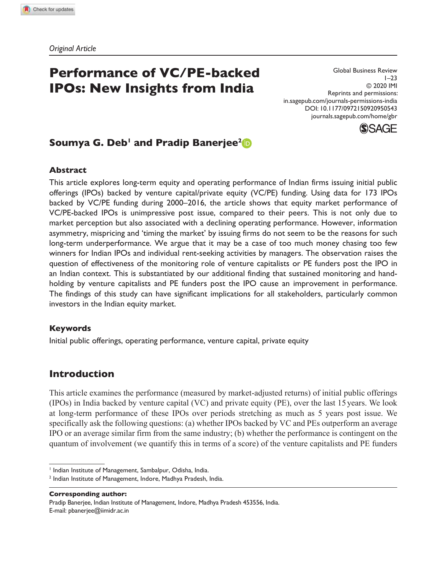*Original Article*

# **Performance of VC/PE-backed IPOs: New Insights from India**

Global Business Review  $1 - 23$ © 2020 IMI Reprints and permissions: in.sagepub.com/journals-permissions-india DOI: 10.1177/0972150920950543 journals.sagepub.com/home/gbr



## **Soumya G. Deb<sup>1</sup> and Pradip Banerjee<sup>2</sup>**

#### **Abstract**

This article explores long-term equity and operating performance of Indian firms issuing initial public offerings (IPOs) backed by venture capital/private equity (VC/PE) funding. Using data for 173 IPOs backed by VC/PE funding during 2000–2016, the article shows that equity market performance of VC/PE-backed IPOs is unimpressive post issue, compared to their peers. This is not only due to market perception but also associated with a declining operating performance. However, information asymmetry, mispricing and 'timing the market' by issuing firms do not seem to be the reasons for such long-term underperformance. We argue that it may be a case of too much money chasing too few winners for Indian IPOs and individual rent-seeking activities by managers. The observation raises the question of effectiveness of the monitoring role of venture capitalists or PE funders post the IPO in an Indian context. This is substantiated by our additional finding that sustained monitoring and handholding by venture capitalists and PE funders post the IPO cause an improvement in performance. The findings of this study can have significant implications for all stakeholders, particularly common investors in the Indian equity market.

#### **Keywords**

Initial public offerings, operating performance, venture capital, private equity

## **Introduction**

This article examines the performance (measured by market-adjusted returns) of initial public offerings (IPOs) in India backed by venture capital (VC) and private equity (PE), over the last 15 years. We look at long-term performance of these IPOs over periods stretching as much as 5 years post issue. We specifically ask the following questions: (a) whether IPOs backed by VC and PEs outperform an average IPO or an average similar firm from the same industry; (b) whether the performance is contingent on the quantum of involvement (we quantify this in terms of a score) of the venture capitalists and PE funders

**Corresponding author:** Pradip Banerjee, Indian Institute of Management, Indore, Madhya Pradesh 453556, India. E-mail: pbanerjee@iimidr.ac.in

<sup>&</sup>lt;sup>1</sup> Indian Institute of Management, Sambalpur, Odisha, India.

<sup>&</sup>lt;sup>2</sup> Indian Institute of Management, Indore, Madhya Pradesh, India.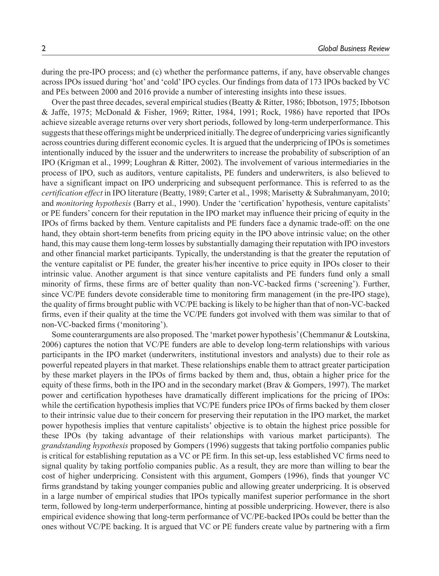during the pre-IPO process; and (c) whether the performance patterns, if any, have observable changes across IPOs issued during 'hot' and 'cold' IPO cycles. Our findings from data of 173 IPOs backed by VC and PEs between 2000 and 2016 provide a number of interesting insights into these issues.

Over the past three decades, several empirical studies (Beatty & Ritter, 1986; Ibbotson, 1975; Ibbotson & Jaffe, 1975; McDonald & Fisher, 1969; Ritter, 1984, 1991; Rock, 1986) have reported that IPOs achieve sizeable average returns over very short periods, followed by long-term underperformance. This suggests that these offerings might be underpriced initially. The degree of underpricing varies significantly across countries during different economic cycles. It is argued that the underpricing of IPOs is sometimes intentionally induced by the issuer and the underwriters to increase the probability of subscription of an IPO (Krigman et al., 1999; Loughran & Ritter, 2002). The involvement of various intermediaries in the process of IPO, such as auditors, venture capitalists, PE funders and underwriters, is also believed to have a significant impact on IPO underpricing and subsequent performance. This is referred to as the *certification effect* in IPO literature (Beatty, 1989; Carter et al., 1998; Marisetty & Subrahmanyam, 2010; and *monitoring hypothesis* (Barry et al., 1990). Under the 'certification' hypothesis, venture capitalists' or PE funders' concern for their reputation in the IPO market may influence their pricing of equity in the IPOs of firms backed by them. Venture capitalists and PE funders face a dynamic trade-off: on the one hand, they obtain short-term benefits from pricing equity in the IPO above intrinsic value; on the other hand, this may cause them long-term losses by substantially damaging their reputation with IPO investors and other financial market participants. Typically, the understanding is that the greater the reputation of the venture capitalist or PE funder, the greater his/her incentive to price equity in IPOs closer to their intrinsic value. Another argument is that since venture capitalists and PE funders fund only a small minority of firms, these firms are of better quality than non-VC-backed firms ('screening'). Further, since VC/PE funders devote considerable time to monitoring firm management (in the pre-IPO stage), the quality of firms brought public with VC/PE backing is likely to be higher than that of non-VC-backed firms, even if their quality at the time the VC/PE funders got involved with them was similar to that of non-VC-backed firms ('monitoring').

Some counterarguments are also proposed. The 'market power hypothesis' (Chemmanur & Loutskina, 2006) captures the notion that VC/PE funders are able to develop long-term relationships with various participants in the IPO market (underwriters, institutional investors and analysts) due to their role as powerful repeated players in that market. These relationships enable them to attract greater participation by these market players in the IPOs of firms backed by them and, thus, obtain a higher price for the equity of these firms, both in the IPO and in the secondary market (Brav & Gompers, 1997). The market power and certification hypotheses have dramatically different implications for the pricing of IPOs: while the certification hypothesis implies that VC/PE funders price IPOs of firms backed by them closer to their intrinsic value due to their concern for preserving their reputation in the IPO market, the market power hypothesis implies that venture capitalists' objective is to obtain the highest price possible for these IPOs (by taking advantage of their relationships with various market participants). The *grandstanding hypothesis* proposed by Gompers (1996) suggests that taking portfolio companies public is critical for establishing reputation as a VC or PE firm. In this set-up, less established VC firms need to signal quality by taking portfolio companies public. As a result, they are more than willing to bear the cost of higher underpricing. Consistent with this argument, Gompers (1996), finds that younger VC firms grandstand by taking younger companies public and allowing greater underpricing. It is observed in a large number of empirical studies that IPOs typically manifest superior performance in the short term, followed by long-term underperformance, hinting at possible underpricing. However, there is also empirical evidence showing that long-term performance of VC/PE-backed IPOs could be better than the ones without VC/PE backing. It is argued that VC or PE funders create value by partnering with a firm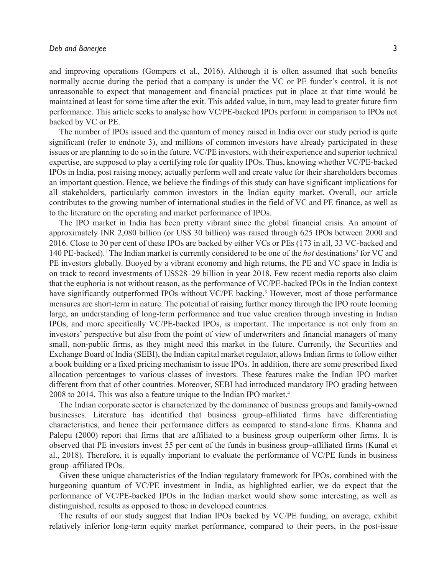and improving operations (Gompers et al., 2016). Although it is often assumed that such benefits normally accrue during the period that a company is under the VC or PE funder's control, it is not unreasonable to expect that management and financial practices put in place at that time would be maintained at least for some time after the exit. This added value, in turn, may lead to greater future firm performance. This article seeks to analyse how VC/PE-backed IPOs perform in comparison to IPOs not backed by VC or PE.

The number of IPOs issued and the quantum of money raised in India over our study period is quite significant (refer to endnote 3), and millions of common investors have already participated in these issues or are planning to do so in the future. VC/PE investors, with their experience and superior technical expertise, are supposed to play a certifying role for quality IPOs. Thus, knowing whether VC/PE-backed IPOs in India, post raising money, actually perform well and create value for their shareholders becomes an important question. Hence, we believe the findings of this study can have significant implications for all stakeholders, particularly common investors in the Indian equity market. Overall, our article contributes to the growing number of international studies in the field of VC and PE finance, as well as to the literature on the operating and market performance of IPOs.

The IPO market in India has been pretty vibrant since the global financial crisis. An amount of approximately INR 2,080 billion (or US\$ 30 billion) was raised through 625 IPOs between 2000 and 2016. Close to 30 per cent of these IPOs are backed by either VCs or PEs (173 in all, 33 VC-backed and 140 PE-backed).<sup>1</sup> The Indian market is currently considered to be one of the *hot* destinations<sup>2</sup> for VC and PE investors globally. Buoyed by a vibrant economy and high returns, the PE and VC space in India is on track to record investments of US\$28–29 billion in year 2018. Few recent media reports also claim that the euphoria is not without reason, as the performance of VC/PE-backed IPOs in the Indian context have significantly outperformed IPOs without VC/PE backing.<sup>3</sup> However, most of those performance measures are short-term in nature. The potential of raising further money through the IPO route looming large, an understanding of long-term performance and true value creation through investing in Indian IPOs, and more specifically VC/PE-backed IPOs, is important. The importance is not only from an investors' perspective but also from the point of view of underwriters and financial managers of many small, non-public firms, as they might need this market in the future. Currently, the Securities and Exchange Board of India (SEBI), the Indian capital market regulator, allows Indian firms to follow either a book building or a fixed pricing mechanism to issue IPOs. In addition, there are some prescribed fixed allocation percentages to various classes of investors. These features make the Indian IPO market different from that of other countries. Moreover, SEBI had introduced mandatory IPO grading between 2008 to 2014. This was also a feature unique to the Indian IPO market.<sup>4</sup>

The Indian corporate sector is characterized by the dominance of business groups and family-owned businesses. Literature has identified that business group–affiliated firms have differentiating characteristics, and hence their performance differs as compared to stand-alone firms. Khanna and Palepu (2000) report that firms that are affiliated to a business group outperform other firms. It is observed that PE investors invest 55 per cent of the funds in business group–affiliated firms (Kunal et al., 2018). Therefore, it is equally important to evaluate the performance of VC/PE funds in business group–affiliated IPOs.

Given these unique characteristics of the Indian regulatory framework for IPOs, combined with the burgeoning quantum of VC/PE investment in India, as highlighted earlier, we do expect that the performance of VC/PE-backed IPOs in the Indian market would show some interesting, as well as distinguished, results as opposed to those in developed countries.

The results of our study suggest that Indian IPOs backed by VC/PE funding, on average, exhibit relatively inferior long-term equity market performance, compared to their peers, in the post-issue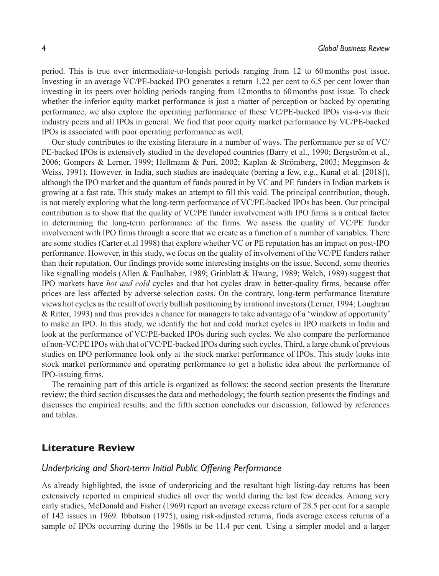period. This is true over intermediate-to-longish periods ranging from 12 to 60 months post issue. Investing in an average VC/PE-backed IPO generates a return 1.22 per cent to 6.5 per cent lower than investing in its peers over holding periods ranging from 12 months to 60 months post issue. To check whether the inferior equity market performance is just a matter of perception or backed by operating performance, we also explore the operating performance of these VC/PE-backed IPOs vis-à-vis their industry peers and all IPOs in general. We find that poor equity market performance by VC/PE-backed IPOs is associated with poor operating performance as well.

Our study contributes to the existing literature in a number of ways. The performance per se of VC/ PE-backed IPOs is extensively studied in the developed countries (Barry et al., 1990; Bergström et al., 2006; Gompers & Lerner, 1999; Hellmann & Puri, 2002; Kaplan & Strömberg, 2003; Megginson & Weiss, 1991). However, in India, such studies are inadequate (barring a few, e.g., Kunal et al. [2018]), although the IPO market and the quantum of funds poured in by VC and PE funders in Indian markets is growing at a fast rate. This study makes an attempt to fill this void. The principal contribution, though, is not merely exploring what the long-term performance of VC/PE-backed IPOs has been. Our principal contribution is to show that the quality of VC/PE funder involvement with IPO firms is a critical factor in determining the long-term performance of the firms. We assess the quality of VC/PE funder involvement with IPO firms through a score that we create as a function of a number of variables. There are some studies (Carter et.al 1998) that explore whether VC or PE reputation has an impact on post-IPO performance. However, in this study, we focus on the quality of involvement of the VC/PE funders rather than their reputation. Our findings provide some interesting insights on the issue. Second, some theories like signalling models (Allen & Faulhaber, 1989; Grinblatt & Hwang, 1989; Welch, 1989) suggest that IPO markets have *hot and cold* cycles and that hot cycles draw in better-quality firms, because offer prices are less affected by adverse selection costs. On the contrary, long-term performance literature views hot cycles as the result of overly bullish positioning by irrational investors (Lerner, 1994; Loughran & Ritter, 1993) and thus provides a chance for managers to take advantage of a 'window of opportunity' to make an IPO. In this study, we identify the hot and cold market cycles in IPO markets in India and look at the performance of VC/PE-backed IPOs during such cycles. We also compare the performance of non-VC/PE IPOs with that of VC/PE-backed IPOs during such cycles. Third, a large chunk of previous studies on IPO performance look only at the stock market performance of IPOs. This study looks into stock market performance and operating performance to get a holistic idea about the performance of IPO-issuing firms.

The remaining part of this article is organized as follows: the second section presents the literature review; the third section discusses the data and methodology; the fourth section presents the findings and discusses the empirical results; and the fifth section concludes our discussion, followed by references and tables.

### **Literature Review**

### *Underpricing and Short-term Initial Public Offering Performance*

As already highlighted, the issue of underpricing and the resultant high listing-day returns has been extensively reported in empirical studies all over the world during the last few decades. Among very early studies, McDonald and Fisher (1969) report an average excess return of 28.5 per cent for a sample of 142 issues in 1969. Ibbotson (1975), using risk-adjusted returns, finds average excess returns of a sample of IPOs occurring during the 1960s to be 11.4 per cent. Using a simpler model and a larger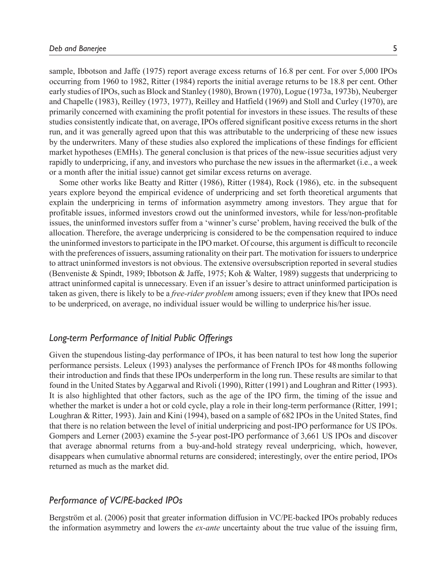sample, Ibbotson and Jaffe (1975) report average excess returns of 16.8 per cent. For over 5,000 IPOs occurring from 1960 to 1982, Ritter (1984) reports the initial average returns to be 18.8 per cent. Other early studies of IPOs, such as Block and Stanley (1980), Brown (1970), Logue (1973a, 1973b), Neuberger and Chapelle (1983), Reilley (1973, 1977), Reilley and Hatfield (1969) and Stoll and Curley (1970), are primarily concerned with examining the profit potential for investors in these issues. The results of these studies consistently indicate that, on average, IPOs offered significant positive excess returns in the short run, and it was generally agreed upon that this was attributable to the underpricing of these new issues by the underwriters. Many of these studies also explored the implications of these findings for efficient market hypotheses (EMHs). The general conclusion is that prices of the new-issue securities adjust very rapidly to underpricing, if any, and investors who purchase the new issues in the aftermarket (i.e., a week or a month after the initial issue) cannot get similar excess returns on average.

Some other works like Beatty and Ritter (1986), Ritter (1984), Rock (1986), etc. in the subsequent years explore beyond the empirical evidence of underpricing and set forth theoretical arguments that explain the underpricing in terms of information asymmetry among investors. They argue that for profitable issues, informed investors crowd out the uninformed investors, while for less/non-profitable issues, the uninformed investors suffer from a 'winner's curse' problem, having received the bulk of the allocation. Therefore, the average underpricing is considered to be the compensation required to induce the uninformed investors to participate in the IPO market. Of course, this argument is difficult to reconcile with the preferences of issuers, assuming rationality on their part. The motivation for issuers to underprice to attract uninformed investors is not obvious. The extensive oversubscription reported in several studies (Benveniste & Spindt, 1989; Ibbotson & Jaffe, 1975; Koh & Walter, 1989) suggests that underpricing to attract uninformed capital is unnecessary. Even if an issuer's desire to attract uninformed participation is taken as given, there is likely to be a *free-rider problem* among issuers; even if they knew that IPOs need to be underpriced, on average, no individual issuer would be willing to underprice his/her issue.

## *Long-term Performance of Initial Public Offerings*

Given the stupendous listing-day performance of IPOs, it has been natural to test how long the superior performance persists. Leleux (1993) analyses the performance of French IPOs for 48 months following their introduction and finds that these IPOs underperform in the long run. These results are similar to that found in the United States by Aggarwal and Rivoli (1990), Ritter (1991) and Loughran and Ritter (1993). It is also highlighted that other factors, such as the age of the IPO firm, the timing of the issue and whether the market is under a hot or cold cycle, play a role in their long-term performance (Ritter, 1991; Loughran & Ritter, 1993). Jain and Kini (1994), based on a sample of 682 IPOs in the United States, find that there is no relation between the level of initial underpricing and post-IPO performance for US IPOs. Gompers and Lerner (2003) examine the 5-year post-IPO performance of 3,661 US IPOs and discover that average abnormal returns from a buy-and-hold strategy reveal underpricing, which, however, disappears when cumulative abnormal returns are considered; interestingly, over the entire period, IPOs returned as much as the market did.

### *Performance of VC/PE-backed IPOs*

Bergström et al. (2006) posit that greater information diffusion in VC/PE-backed IPOs probably reduces the information asymmetry and lowers the *ex-ante* uncertainty about the true value of the issuing firm,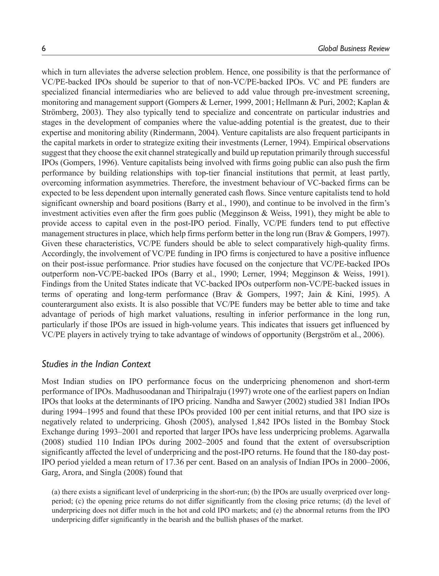which in turn alleviates the adverse selection problem. Hence, one possibility is that the performance of VC/PE-backed IPOs should be superior to that of non-VC/PE-backed IPOs. VC and PE funders are specialized financial intermediaries who are believed to add value through pre-investment screening, monitoring and management support (Gompers & Lerner, 1999, 2001; Hellmann & Puri, 2002; Kaplan & Strömberg, 2003). They also typically tend to specialize and concentrate on particular industries and stages in the development of companies where the value-adding potential is the greatest, due to their expertise and monitoring ability (Rindermann, 2004). Venture capitalists are also frequent participants in the capital markets in order to strategize exiting their investments (Lerner, 1994). Empirical observations suggest that they choose the exit channel strategically and build up reputation primarily through successful IPOs (Gompers, 1996). Venture capitalists being involved with firms going public can also push the firm performance by building relationships with top-tier financial institutions that permit, at least partly, overcoming information asymmetries. Therefore, the investment behaviour of VC-backed firms can be expected to be less dependent upon internally generated cash flows. Since venture capitalists tend to hold significant ownership and board positions (Barry et al., 1990), and continue to be involved in the firm's investment activities even after the firm goes public (Megginson & Weiss, 1991), they might be able to provide access to capital even in the post-IPO period. Finally, VC/PE funders tend to put effective management structures in place, which help firms perform better in the long run (Brav & Gompers, 1997). Given these characteristics, VC/PE funders should be able to select comparatively high-quality firms. Accordingly, the involvement of VC/PE funding in IPO firms is conjectured to have a positive influence on their post-issue performance. Prior studies have focused on the conjecture that VC/PE-backed IPOs outperform non-VC/PE-backed IPOs (Barry et al., 1990; Lerner, 1994; Megginson & Weiss, 1991). Findings from the United States indicate that VC-backed IPOs outperform non-VC/PE-backed issues in terms of operating and long-term performance (Brav & Gompers, 1997; Jain & Kini, 1995). A counterargument also exists. It is also possible that VC/PE funders may be better able to time and take advantage of periods of high market valuations, resulting in inferior performance in the long run, particularly if those IPOs are issued in high-volume years. This indicates that issuers get influenced by VC/PE players in actively trying to take advantage of windows of opportunity (Bergström et al., 2006).

### *Studies in the Indian Context*

Most Indian studies on IPO performance focus on the underpricing phenomenon and short-term performance of IPOs. Madhusoodanan and Thiripalraju (1997) wrote one of the earliest papers on Indian IPOs that looks at the determinants of IPO pricing. Nandha and Sawyer (2002) studied 381 Indian IPOs during 1994–1995 and found that these IPOs provided 100 per cent initial returns, and that IPO size is negatively related to underpricing. Ghosh (2005), analysed 1,842 IPOs listed in the Bombay Stock Exchange during 1993–2001 and reported that larger IPOs have less underpricing problems. Agarwalla (2008) studied 110 Indian IPOs during 2002–2005 and found that the extent of oversubscription significantly affected the level of underpricing and the post-IPO returns. He found that the 180-day post-IPO period yielded a mean return of 17.36 per cent. Based on an analysis of Indian IPOs in 2000–2006, Garg, Arora, and Singla (2008) found that

(a) there exists a significant level of underpricing in the short-run; (b) the IPOs are usually overpriced over longperiod; (c) the opening price returns do not differ significantly from the closing price returns; (d) the level of underpricing does not differ much in the hot and cold IPO markets; and (e) the abnormal returns from the IPO underpricing differ significantly in the bearish and the bullish phases of the market.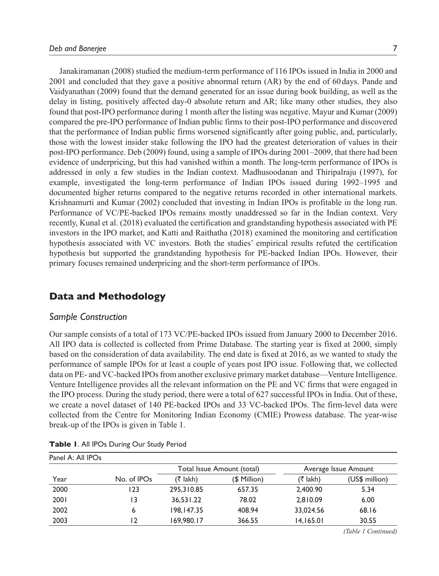Janakiramanan (2008) studied the medium-term performance of 116 IPOs issued in India in 2000 and 2001 and concluded that they gave a positive abnormal return (AR) by the end of 60 days. Pande and Vaidyanathan (2009) found that the demand generated for an issue during book building, as well as the delay in listing, positively affected day-0 absolute return and AR; like many other studies, they also found that post-IPO performance during 1 month after the listing was negative. Mayur and Kumar (2009) compared the pre-IPO performance of Indian public firms to their post*-*IPO performance and discovered that the performance of Indian public firms worsened significantly after going public, and, particularly, those with the lowest insider stake following the IPO had the greatest deterioration of values in their post*-*IPO performance. Deb (2009) found, using a sample of IPOs during 2001–2009, that there had been evidence of underpricing, but this had vanished within a month. The long-term performance of IPOs is addressed in only a few studies in the Indian context. Madhusoodanan and Thiripalraju (1997), for example, investigated the long-term performance of Indian IPOs issued during 1992–1995 and documented higher returns compared to the negative returns recorded in other international markets. Krishnamurti and Kumar (2002) concluded that investing in Indian IPOs is profitable in the long run. Performance of VC/PE-backed IPOs remains mostly unaddressed so far in the Indian context. Very recently, Kunal et al. (2018) evaluated the certification and grandstanding hypothesis associated with PE investors in the IPO market, and Katti and Raithatha (2018) examined the monitoring and certification hypothesis associated with VC investors. Both the studies' empirical results refuted the certification hypothesis but supported the grandstanding hypothesis for PE-backed Indian IPOs. However, their primary focuses remained underpricing and the short-term performance of IPOs.

## **Data and Methodology**

#### *Sample Construction*

Our sample consists of a total of 173 VC/PE-backed IPOs issued from January 2000 to December 2016. All IPO data is collected is collected from Prime Database. The starting year is fixed at 2000, simply based on the consideration of data availability. The end date is fixed at 2016, as we wanted to study the performance of sample IPOs for at least a couple of years post IPO issue. Following that, we collected data on PE- and VC-backed IPOs from another exclusive primary market database—Venture Intelligence. Venture Intelligence provides all the relevant information on the PE and VC firms that were engaged in the IPO process. During the study period, there were a total of 627 successful IPOs in India. Out of these, we create a novel dataset of 140 PE-backed IPOs and 33 VC-backed IPOs. The firm-level data were collected from the Centre for Monitoring Indian Economy (CMIE) Prowess database. The year-wise break-up of the IPOs is given in Table 1.

| Panel A: All IPOs |             |            |                            |           |                      |
|-------------------|-------------|------------|----------------------------|-----------|----------------------|
|                   |             |            | Total Issue Amount (total) |           | Average Issue Amount |
| Year              | No. of IPOs | (₹ lakh)   | (\$ Million)               | (₹ lakh)  | (US\$ million)       |
| 2000              | 123         | 295,310.85 | 657.35                     | 2,400.90  | 5.34                 |
| 2001              | 13          | 36,531.22  | 78.02                      | 2,810.09  | 6.00                 |
| 2002              | 6           | 198.147.35 | 408.94                     | 33,024.56 | 68.16                |
| 2003              | 12          | 169,980.17 | 366.55                     | 14,165.01 | 30.55                |

**Table 1**. All IPOs During Our Study Period

*(Table 1 Continued)*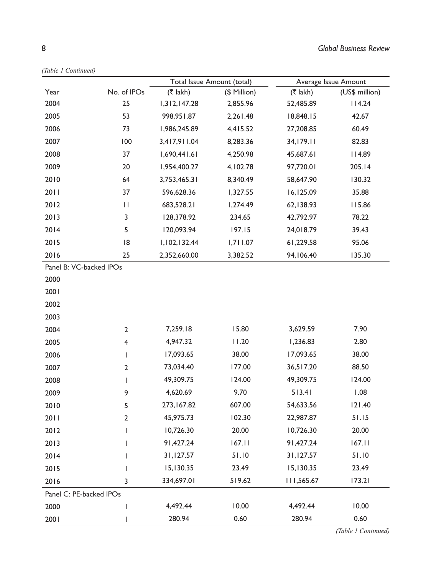| $(100)$ T Committee)    |                | Total Issue Amount (total) |              |             | Average Issue Amount |  |  |
|-------------------------|----------------|----------------------------|--------------|-------------|----------------------|--|--|
| Year                    | No. of IPOs    | $(3 \tanh)$                | (\$ Million) | $($ ₹ lakh) | (US\$ million)       |  |  |
| 2004                    | 25             | 1,312,147.28               | 2,855.96     | 52,485.89   | 114.24               |  |  |
| 2005                    | 53             | 998,951.87                 | 2,261.48     | 18,848.15   | 42.67                |  |  |
| 2006                    | 73             | 1,986,245.89               | 4,415.52     | 27,208.85   | 60.49                |  |  |
| 2007                    | 100            | 3,417,911.04               | 8,283.36     | 34,179.11   | 82.83                |  |  |
| 2008                    | 37             | 1,690,441.61               | 4,250.98     | 45,687.61   | 114.89               |  |  |
| 2009                    | 20             | 1,954,400.27               | 4,102.78     | 97,720.01   | 205.14               |  |  |
| 2010                    | 64             | 3,753,465.31               | 8,340.49     | 58,647.90   | 130.32               |  |  |
| 2011                    | 37             | 596,628.36                 | 1,327.55     | 16,125.09   | 35.88                |  |  |
| 2012                    | П              | 683,528.21                 | 1,274.49     | 62,138.93   | 115.86               |  |  |
| 2013                    | 3              | 128,378.92                 | 234.65       | 42,792.97   | 78.22                |  |  |
| 2014                    | 5              | 120,093.94                 | 197.15       | 24,018.79   | 39.43                |  |  |
| 2015                    | 18             | 1,102,132.44               | 1,711.07     | 61,229.58   | 95.06                |  |  |
| 2016                    | 25             | 2,352,660.00               | 3,382.52     | 94,106.40   | 135.30               |  |  |
| Panel B: VC-backed IPOs |                |                            |              |             |                      |  |  |
| 2000                    |                |                            |              |             |                      |  |  |
| 2001                    |                |                            |              |             |                      |  |  |
| 2002                    |                |                            |              |             |                      |  |  |
| 2003                    |                |                            |              |             |                      |  |  |
| 2004                    | $\overline{2}$ | 7,259.18                   | 15.80        | 3,629.59    | 7.90                 |  |  |
| 2005                    | 4              | 4,947.32                   | 11.20        | 1,236.83    | 2.80                 |  |  |
| 2006                    | T              | 17,093.65                  | 38.00        | 17,093.65   | 38.00                |  |  |
| 2007                    | $\mathbf{2}$   | 73,034.40                  | 177.00       | 36,517.20   | 88.50                |  |  |
| 2008                    | I              | 49,309.75                  | 124.00       | 49,309.75   | 124.00               |  |  |
| 2009                    | 9              | 4,620.69                   | 9.70         | 513.41      | 1.08                 |  |  |
| 2010                    | 5              | 273, 167.82                | 607.00       | 54,633.56   | 121.40               |  |  |
| 2011                    | $\mathbf{2}$   | 45,975.73                  | 102.30       | 22,987.87   | 51.15                |  |  |
| 2012                    | I              | 10,726.30                  | 20.00        | 10,726.30   | 20.00                |  |  |
| 2013                    | I              | 91,427.24                  | 167.11       | 91,427.24   | 167.11               |  |  |
| 2014                    | I              | 31,127.57                  | 51.10        | 31,127.57   | 51.10                |  |  |
| 2015                    | L              | 15,130.35                  | 23.49        | 15,130.35   | 23.49                |  |  |
| 2016                    | 3              | 334,697.01                 | 519.62       | 111,565.67  | 173.21               |  |  |
| Panel C: PE-backed IPOs |                |                            |              |             |                      |  |  |
| 2000                    | I              | 4,492.44                   | 10.00        | 4,492.44    | 10.00                |  |  |
| 2001                    |                | 280.94                     | 0.60         | 280.94      | 0.60                 |  |  |

*(Table 1 Continued)*

*(Table 1 Continued)*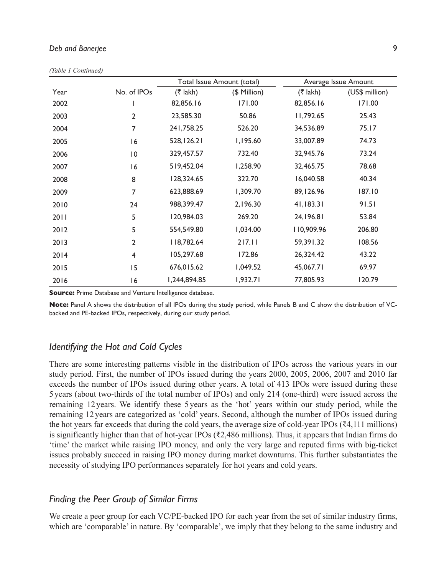| 10001 |                |              |                            |             |                      |  |  |  |
|-------|----------------|--------------|----------------------------|-------------|----------------------|--|--|--|
|       |                |              | Total Issue Amount (total) |             | Average Issue Amount |  |  |  |
| Year  | No. of IPOs    | $(3 \tanh)$  | (\$ Million)               | $(3 \tanh)$ | (US\$ million)       |  |  |  |
| 2002  |                | 82,856.16    | 171.00                     | 82,856.16   | 171.00               |  |  |  |
| 2003  | $\overline{2}$ | 23,585.30    | 50.86                      | 11,792.65   | 25.43                |  |  |  |
| 2004  | 7              | 241,758.25   | 526.20                     | 34,536.89   | 75.17                |  |  |  |
| 2005  | 16             | 528, 126.21  | 1,195.60                   | 33,007.89   | 74.73                |  |  |  |
| 2006  | 10             | 329,457.57   | 732.40                     | 32,945.76   | 73.24                |  |  |  |
| 2007  | 16             | 519,452.04   | 1,258.90                   | 32,465.75   | 78.68                |  |  |  |
| 2008  | 8              | 128,324.65   | 322.70                     | 16,040.58   | 40.34                |  |  |  |
| 2009  | 7              | 623,888.69   | 1,309.70                   | 89,126.96   | 187.10               |  |  |  |
| 2010  | 24             | 988,399.47   | 2,196.30                   | 41,183.31   | 91.51                |  |  |  |
| 2011  | 5              | 120,984.03   | 269.20                     | 24,196.81   | 53.84                |  |  |  |
| 2012  | 5              | 554,549.80   | 1,034.00                   | 110,909.96  | 206.80               |  |  |  |
| 2013  | $\overline{2}$ | 118,782.64   | 217.11                     | 59,391.32   | 108.56               |  |  |  |
| 2014  | 4              | 105,297.68   | 172.86                     | 26,324.42   | 43.22                |  |  |  |
| 2015  | 15             | 676,015.62   | 1,049.52                   | 45,067.71   | 69.97                |  |  |  |
| 2016  | 16             | 1,244,894.85 | 1,932.71                   | 77,805.93   | 120.79               |  |  |  |

*(Table 1 Continued)*

**Source:** Prime Database and Venture Intelligence database.

**Note:** Panel A shows the distribution of all IPOs during the study period, while Panels B and C show the distribution of VCbacked and PE-backed IPOs, respectively, during our study period.

## *Identifying the Hot and Cold Cycles*

There are some interesting patterns visible in the distribution of IPOs across the various years in our study period. First, the number of IPOs issued during the years 2000, 2005, 2006, 2007 and 2010 far exceeds the number of IPOs issued during other years. A total of 413 IPOs were issued during these 5 years (about two-thirds of the total number of IPOs) and only 214 (one-third) were issued across the remaining 12 years. We identify these 5 years as the 'hot' years within our study period, while the remaining 12 years are categorized as 'cold' years. Second, although the number of IPOs issued during the hot years far exceeds that during the cold years, the average size of cold-year IPOs (₹4,111 millions) is significantly higher than that of hot-year IPOs ( $\overline{\tau}$ 2,486 millions). Thus, it appears that Indian firms do 'time' the market while raising IPO money, and only the very large and reputed firms with big-ticket issues probably succeed in raising IPO money during market downturns. This further substantiates the necessity of studying IPO performances separately for hot years and cold years.

### *Finding the Peer Group of Similar Firms*

We create a peer group for each VC/PE-backed IPO for each year from the set of similar industry firms, which are 'comparable' in nature. By 'comparable', we imply that they belong to the same industry and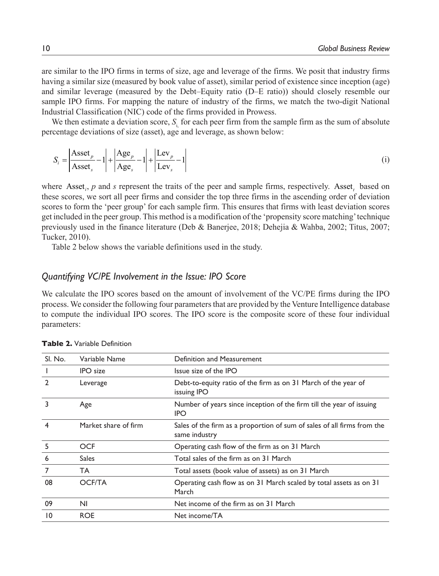are similar to the IPO firms in terms of size, age and leverage of the firms. We posit that industry firms having a similar size (measured by book value of asset), similar period of existence since inception (age) and similar leverage (measured by the Debt–Equity ratio (D–E ratio)) should closely resemble our sample IPO firms. For mapping the nature of industry of the firms, we match the two-digit National Industrial Classification (NIC) code of the firms provided in Prowess.

We then estimate a deviation score, *S*<sub>i</sub> for each peer firm from the sample firm as the sum of absolute percentage deviations of size (asset), age and leverage, as shown below:

$$
S_i = \left| \frac{\text{Asset}_p}{\text{Asset}_s} - 1 \right| + \left| \frac{\text{Age}_p}{\text{Age}_s} - 1 \right| + \left| \frac{\text{Lev}_p}{\text{Lev}_s} - 1 \right| \tag{i}
$$

where Asset<sub>i</sub>,  $p$  and  $s$  represent the traits of the peer and sample firms, respectively. Asset<sub>t</sub> based on these scores, we sort all peer firms and consider the top three firms in the ascending order of deviation scores to form the 'peer group' for each sample firm. This ensures that firms with least deviation scores get included in the peer group. This method is a modification of the 'propensity score matching' technique previously used in the finance literature (Deb & Banerjee, 2018; Dehejia & Wahba, 2002; Titus, 2007; Tucker, 2010).

Table 2 below shows the variable definitions used in the study.

## *Quantifying VC/PE Involvement in the Issue: IPO Score*

We calculate the IPO scores based on the amount of involvement of the VC/PE firms during the IPO process. We consider the following four parameters that are provided by the Venture Intelligence database to compute the individual IPO scores. The IPO score is the composite score of these four individual parameters:

| SI. No.       | Variable Name        | Definition and Measurement                                                               |
|---------------|----------------------|------------------------------------------------------------------------------------------|
|               | <b>IPO</b> size      | Issue size of the IPO                                                                    |
| $\mathcal{P}$ | Leverage             | Debt-to-equity ratio of the firm as on 31 March of the year of<br>issuing IPO            |
| 3             | Age                  | Number of years since inception of the firm till the year of issuing<br><b>IPO</b>       |
| 4             | Market share of firm | Sales of the firm as a proportion of sum of sales of all firms from the<br>same industry |
| 5             | <b>OCF</b>           | Operating cash flow of the firm as on 31 March                                           |
| 6             | <b>Sales</b>         | Total sales of the firm as on 31 March                                                   |
| 7             | TA.                  | Total assets (book value of assets) as on 31 March                                       |
| 08            | <b>OCF/TA</b>        | Operating cash flow as on 31 March scaled by total assets as on 31<br>March              |
| 09            | N <sub>1</sub>       | Net income of the firm as on 31 March                                                    |
| 10            | <b>ROE</b>           | Net income/TA                                                                            |

**Table 2.** Variable Definition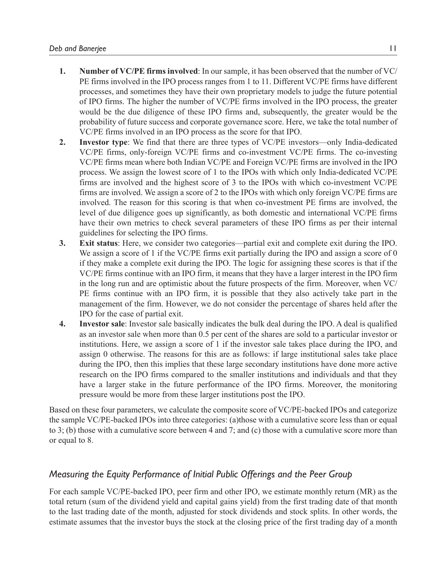- **1. Number of VC/PE firms involved**: In our sample, it has been observed that the number of VC/ PE firms involved in the IPO process ranges from 1 to 11. Different VC/PE firms have different processes, and sometimes they have their own proprietary models to judge the future potential of IPO firms. The higher the number of VC/PE firms involved in the IPO process, the greater would be the due diligence of these IPO firms and, subsequently, the greater would be the probability of future success and corporate governance score. Here, we take the total number of VC/PE firms involved in an IPO process as the score for that IPO.
- **2. Investor type**: We find that there are three types of VC/PE investors—only India-dedicated VC/PE firms, only-foreign VC/PE firms and co-investment VC/PE firms. The co-investing VC/PE firms mean where both Indian VC/PE and Foreign VC/PE firms are involved in the IPO process. We assign the lowest score of 1 to the IPOs with which only India-dedicated VC/PE firms are involved and the highest score of 3 to the IPOs with which co-investment VC/PE firms are involved. We assign a score of 2 to the IPOs with which only foreign VC/PE firms are involved. The reason for this scoring is that when co-investment PE firms are involved, the level of due diligence goes up significantly, as both domestic and international VC/PE firms have their own metrics to check several parameters of these IPO firms as per their internal guidelines for selecting the IPO firms.
- **3. Exit status**: Here, we consider two categories—partial exit and complete exit during the IPO. We assign a score of 1 if the VC/PE firms exit partially during the IPO and assign a score of 0 if they make a complete exit during the IPO. The logic for assigning these scores is that if the VC/PE firms continue with an IPO firm, it means that they have a larger interest in the IPO firm in the long run and are optimistic about the future prospects of the firm. Moreover, when VC/ PE firms continue with an IPO firm, it is possible that they also actively take part in the management of the firm. However, we do not consider the percentage of shares held after the IPO for the case of partial exit.
- **4. Investor sale**: Investor sale basically indicates the bulk deal during the IPO. A deal is qualified as an investor sale when more than 0.5 per cent of the shares are sold to a particular investor or institutions. Here, we assign a score of 1 if the investor sale takes place during the IPO, and assign 0 otherwise. The reasons for this are as follows: if large institutional sales take place during the IPO, then this implies that these large secondary institutions have done more active research on the IPO firms compared to the smaller institutions and individuals and that they have a larger stake in the future performance of the IPO firms. Moreover, the monitoring pressure would be more from these larger institutions post the IPO.

Based on these four parameters, we calculate the composite score of VC/PE-backed IPOs and categorize the sample VC/PE-backed IPOs into three categories: (a)those with a cumulative score less than or equal to 3; (b) those with a cumulative score between 4 and 7; and (c) those with a cumulative score more than or equal to 8.

## *Measuring the Equity Performance of Initial Public Offerings and the Peer Group*

For each sample VC/PE-backed IPO, peer firm and other IPO, we estimate monthly return (MR) as the total return (sum of the dividend yield and capital gains yield) from the first trading date of that month to the last trading date of the month, adjusted for stock dividends and stock splits. In other words, the estimate assumes that the investor buys the stock at the closing price of the first trading day of a month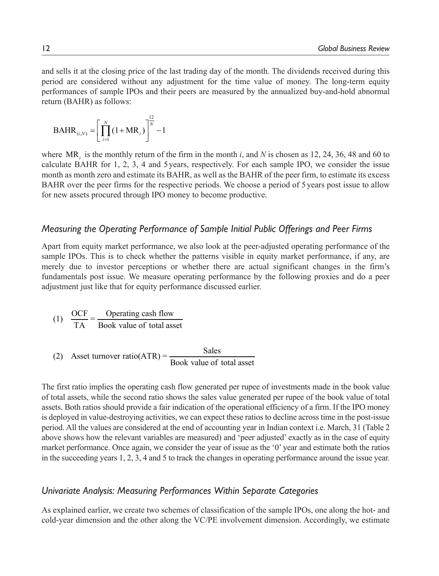and sells it at the closing price of the last trading day of the month. The dividends received during this period are considered without any adjustment for the time value of money. The long-term equity performances of sample IPOs and their peers are measured by the annualized buy-and-hold abnormal return (BAHR) as follows:

$$
BAHR_{(i,N)} = \left[\prod_{i=1}^{N} (1 + MR_i)\right]^{\frac{12}{N}} - 1
$$

where  $MR_i$  is the monthly return of the firm in the month *i*, and *N* is chosen as 12, 24, 36, 48 and 60 to calculate BAHR for 1, 2, 3, 4 and 5 years, respectively. For each sample IPO, we consider the issue month as month zero and estimate its BAHR, as well as the BAHR of the peer firm, to estimate its excess BAHR over the peer firms for the respective periods. We choose a period of 5 years post issue to allow for new assets procured through IPO money to become productive.

### *Measuring the Operating Performance of Sample Initial Public Offerings and Peer Firms*

Apart from equity market performance, we also look at the peer-adjusted operating performance of the sample IPOs. This is to check whether the patterns visible in equity market performance, if any, are merely due to investor perceptions or whether there are actual significant changes in the firm's fundamentals post issue. We measure operating performance by the following proxies and do a peer adjustment just like that for equity performance discussed earlier.

(1) 
$$
\frac{OCF}{TA} = \frac{Operating \text{ cash flow}}{Book \text{ value of total asset}}
$$

(2) Asset turnover ratio(ATR) = 
$$
\frac{\text{Sales}}{\text{Book value of total asset}}
$$

The first ratio implies the operating cash flow generated per rupee of investments made in the book value of total assets, while the second ratio shows the sales value generated per rupee of the book value of total assets. Both ratios should provide a fair indication of the operational efficiency of a firm. If the IPO money is deployed in value-destroying activities, we can expect these ratios to decline across time in the post-issue period. All the values are considered at the end of accounting year in Indian context i.e. March, 31 (Table 2 above shows how the relevant variables are measured) and 'peer adjusted' exactly as in the case of equity market performance. Once again, we consider the year of issue as the '0' year and estimate both the ratios in the succeeding years 1, 2, 3, 4 and 5 to track the changes in operating performance around the issue year.

### *Univariate Analysis: Measuring Performances Within Separate Categories*

As explained earlier, we create two schemes of classification of the sample IPOs, one along the hot- and cold-year dimension and the other along the VC/PE involvement dimension. Accordingly, we estimate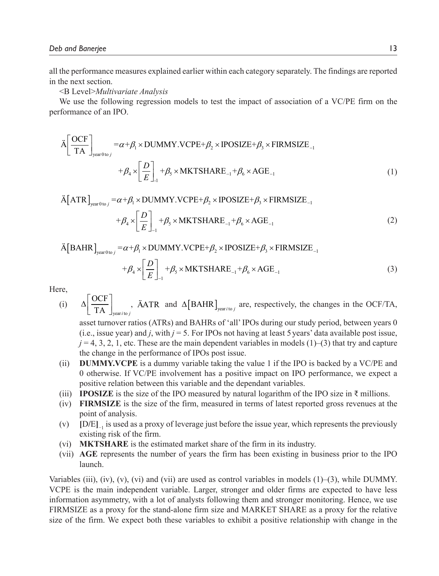all the performance measures explained earlier within each category separately. The findings are reported in the next section.

<B Level>*Multivariate Analysis*

We use the following regression models to test the impact of association of a VC/PE firm on the performance of an IPO.

$$
\tilde{A} \left[ \frac{\text{OCF}}{\text{TA}} \right]_{\text{year0 to } j} = \alpha + \beta_1 \times \text{DUMMY.VCPE} + \beta_2 \times \text{IPOSIZE} + \beta_3 \times \text{FIRMSIZE}_{-1} + \beta_4 \times \left[ \frac{D}{E} \right]_{-1} + \beta_5 \times \text{MKTSHARE}_{-1} + \beta_6 \times \text{AGE}_{-1} \tag{1}
$$

 $\text{A}[\text{ATR}]_{\text{year0 to } j} = \alpha + \beta_1 \times \text{DUMMY.VCPE} + \beta_2 \times \text{IPOSIZE} + \beta_3 \times \text{FIRMSIZE}_{-1}$ 

$$
+\beta_4 \times \left[\frac{D}{E}\right]_{-1} + \beta_5 \times MKTSHARE_{-1} + \beta_6 \times AGE_{-1}
$$
 (2)

 $\widetilde{A}[BAHR]_{\text{year 0 to } j} = \alpha + \beta_1 \times \text{DUMMY.VCPE} + \beta_2 \times \text{POSIZE} + \beta_3 \times \text{FIRMSIZE}_{-1}$ 

$$
+\beta_4 \times \left[\frac{D}{E}\right]_{-1} + \beta_5 \times \text{MKTSHARE}_{-1} + \beta_6 \times \text{AGE}_{-1} \tag{3}
$$

Here,

(i) 
$$
\Delta \left[ \frac{OCF}{TA} \right]_{\text{year/to } j}
$$
,  $\text{AATR}$  and  $\Delta \left[ \text{BAHR} \right]_{\text{year/to } j}$  are, respectively, the changes in the OCF/TA,

asset turnover ratios (ATRs) and BAHRs of 'all' IPOs during our study period, between years 0 (i.e., issue year) and *j*, with  $j = 5$ . For IPOs not having at least 5 years' data available post issue,  $j = 4, 3, 2, 1$ , etc. These are the main dependent variables in models  $(1)$ –(3) that try and capture the change in the performance of IPOs post issue.

- (ii) **DUMMY.VCPE** is a dummy variable taking the value 1 if the IPO is backed by a VC/PE and 0 otherwise. If VC/PE involvement has a positive impact on IPO performance, we expect a positive relation between this variable and the dependant variables.
- (iii) **IPOSIZE** is the size of the IPO measured by natural logarithm of the IPO size in  $\bar{\tau}$  millions.
- (iv) **FIRMSIZE** is the size of the firm, measured in terms of latest reported gross revenues at the point of analysis.
- (v) **[**D**/**E**]** −1 is used as a proxy of leverage just before the issue year, which represents the previously existing risk of the firm.
- (vi) **MKTSHARE** is the estimated market share of the firm in its industry.
- (vii) **AGE** represents the number of years the firm has been existing in business prior to the IPO launch.

Variables (iii), (iv), (v), (vi) and (vii) are used as control variables in models  $(1)$ –(3), while DUMMY. VCPE is the main independent variable. Larger, stronger and older firms are expected to have less information asymmetry, with a lot of analysts following them and stronger monitoring. Hence, we use FIRMSIZE as a proxy for the stand-alone firm size and MARKET SHARE as a proxy for the relative size of the firm. We expect both these variables to exhibit a positive relationship with change in the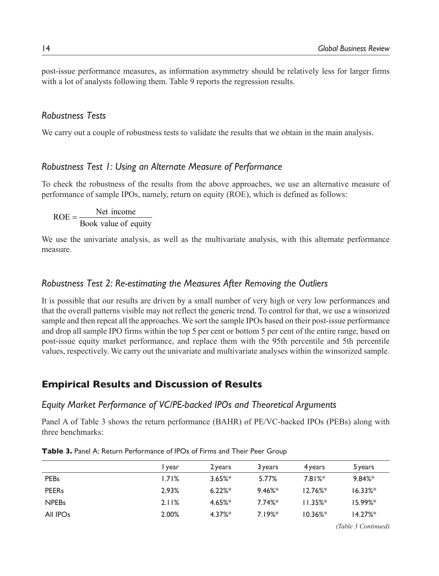post-issue performance measures, as information asymmetry should be relatively less for larger firms with a lot of analysts following them. Table 9 reports the regression results.

### *Robustness Tests*

We carry out a couple of robustness tests to validate the results that we obtain in the main analysis.

### *Robustness Test 1: Using an Alternate Measure of Performance*

To check the robustness of the results from the above approaches, we use an alternative measure of performance of sample IPOs, namely, return on equity (ROE), which is defined as follows:

 $ROE = \frac{Net income}{Book value of equity}$ =

We use the univariate analysis, as well as the multivariate analysis, with this alternate performance measure.

#### *Robustness Test 2: Re-estimating the Measures After Removing the Outliers*

It is possible that our results are driven by a small number of very high or very low performances and that the overall patterns visible may not reflect the generic trend. To control for that, we use a winsorized sample and then repeat all the approaches. We sort the sample IPOs based on their post-issue performance and drop all sample IPO firms within the top 5 per cent or bottom 5 per cent of the entire range, based on post-issue equity market performance, and replace them with the 95th percentile and 5th percentile values, respectively. We carry out the univariate and multivariate analyses within the winsorized sample.

### **Empirical Results and Discussion of Results**

#### *Equity Market Performance of VC/PE-backed IPOs and Theoretical Arguments*

Panel A of Table 3 shows the return performance (BAHR) of PE/VC-backed IPOs (PEBs) along with three benchmarks:

|                      | I year | 2 years   | 3 years   | 4 years     | 5 years    |
|----------------------|--------|-----------|-----------|-------------|------------|
| <b>PEBs</b>          | 1.71%  | $3.65%$ * | 5.77%     | 7.81%       | 9.84%      |
| <b>PEERs</b>         | 2.93%  | $6.22\%*$ | 9.46%     | $12.76\%*$  | $16.33\%*$ |
| <b>NPEBs</b>         | 2.11%  | 4.65%     | $7.74%$ * | $11.35\%$ * | $15.99%$ * |
| All IPO <sub>s</sub> | 2.00%  | $4.37\%*$ | 7.19%     | $10.36\%$ * | $14.27\%*$ |
|                      |        |           |           |             |            |

**Table 3.** Panel A: Return Performance of IPOs of Firms and Their Peer Group

*(Table 3 Continued)*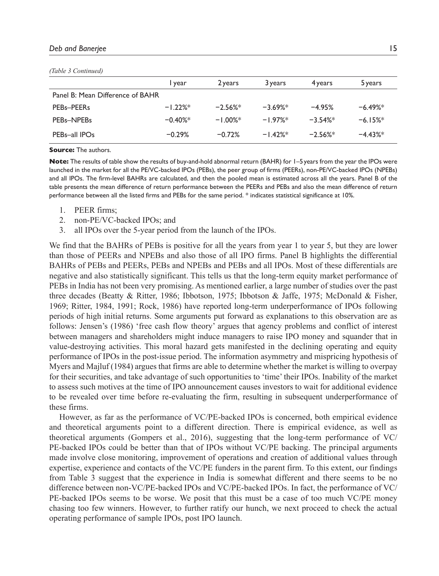#### *Deb and Banerjee* 15

| Table 5 Continued)               |            |            |            |          |          |
|----------------------------------|------------|------------|------------|----------|----------|
|                                  | I year     | 2 years    | 3 years    | 4 years  | 5 years  |
| Panel B: Mean Difference of BAHR |            |            |            |          |          |
| PEBs-PEERs                       | $-1.22%$ * | $-2.56%$   | $-3.69%$ * | $-4.95%$ | $-6.49%$ |
| PEBs-NPEBs                       | $-0.40%$   | $-1.00%$ * | $-1.97%$   | $-3.54%$ | $-6.15%$ |
| PEBs-all IPOs                    | $-0.29%$   | $-0.72%$   | $-1.42%$   | $-2.56%$ | $-4.43%$ |
|                                  |            |            |            |          |          |

#### *(Table 3 Continued)*

**Source:** The authors.

**Note:** The results of table show the results of buy-and-hold abnormal return (BAHR) for 1-5 years from the year the IPOs were launched in the market for all the PE/VC-backed IPOs (PEBs), the peer group of firms (PEERs), non-PE/VC-backed IPOs (NPEBs) and all IPOs. The firm-level BAHRs are calculated, and then the pooled mean is estimated across all the years. Panel B of the table presents the mean difference of return performance between the PEERs and PEBs and also the mean difference of return performance between all the listed firms and PEBs for the same period. \* indicates statistical significance at 10%.

- 1. PEER firms;
- 2. non-PE/VC-backed IPOs; and
- 3. all IPOs over the 5-year period from the launch of the IPOs.

We find that the BAHRs of PEBs is positive for all the years from year 1 to year 5, but they are lower than those of PEERs and NPEBs and also those of all IPO firms. Panel B highlights the differential BAHRs of PEBs and PEERs, PEBs and NPEBs and PEBs and all IPOs. Most of these differentials are negative and also statistically significant. This tells us that the long-term equity market performance of PEBs in India has not been very promising. As mentioned earlier, a large number of studies over the past three decades (Beatty & Ritter, 1986; Ibbotson, 1975; Ibbotson & Jaffe, 1975; McDonald & Fisher, 1969; Ritter, 1984, 1991; Rock, 1986) have reported long-term underperformance of IPOs following periods of high initial returns. Some arguments put forward as explanations to this observation are as follows: Jensen's (1986) 'free cash flow theory' argues that agency problems and conflict of interest between managers and shareholders might induce managers to raise IPO money and squander that in value-destroying activities. This moral hazard gets manifested in the declining operating and equity performance of IPOs in the post-issue period. The information asymmetry and mispricing hypothesis of Myers and Majluf (1984) argues that firms are able to determine whether the market is willing to overpay for their securities, and take advantage of such opportunities to 'time' their IPOs. Inability of the market to assess such motives at the time of IPO announcement causes investors to wait for additional evidence to be revealed over time before re-evaluating the firm, resulting in subsequent underperformance of these firms.

However, as far as the performance of VC/PE-backed IPOs is concerned, both empirical evidence and theoretical arguments point to a different direction. There is empirical evidence, as well as theoretical arguments (Gompers et al., 2016), suggesting that the long-term performance of VC/ PE-backed IPOs could be better than that of IPOs without VC/PE backing. The principal arguments made involve close monitoring, improvement of operations and creation of additional values through expertise, experience and contacts of the VC/PE funders in the parent firm. To this extent, our findings from Table 3 suggest that the experience in India is somewhat different and there seems to be no difference between non-VC/PE-backed IPOs and VC/PE-backed IPOs. In fact, the performance of VC/ PE-backed IPOs seems to be worse. We posit that this must be a case of too much VC/PE money chasing too few winners. However, to further ratify our hunch, we next proceed to check the actual operating performance of sample IPOs, post IPO launch.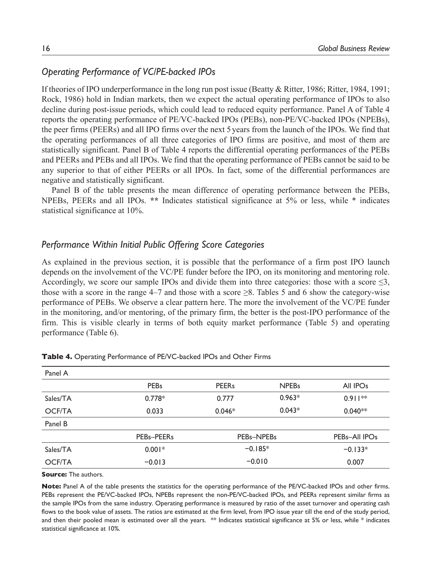## *Operating Performance of VC/PE-backed IPOs*

If theories of IPO underperformance in the long run post issue (Beatty & Ritter, 1986; Ritter, 1984, 1991; Rock, 1986) hold in Indian markets, then we expect the actual operating performance of IPOs to also decline during post-issue periods, which could lead to reduced equity performance. Panel A of Table 4 reports the operating performance of PE/VC-backed IPOs (PEBs), non-PE/VC-backed IPOs (NPEBs), the peer firms (PEERs) and all IPO firms over the next 5 years from the launch of the IPOs. We find that the operating performances of all three categories of IPO firms are positive, and most of them are statistically significant. Panel B of Table 4 reports the differential operating performances of the PEBs and PEERs and PEBs and all IPOs. We find that the operating performance of PEBs cannot be said to be any superior to that of either PEERs or all IPOs. In fact, some of the differential performances are negative and statistically significant.

Panel B of the table presents the mean difference of operating performance between the PEBs, NPEBs, PEERs and all IPOs. **\*\*** Indicates statistical significance at 5% or less, while \* indicates statistical significance at 10%.

## *Performance Within Initial Public Offering Score Categories*

As explained in the previous section, it is possible that the performance of a firm post IPO launch depends on the involvement of the VC/PE funder before the IPO, on its monitoring and mentoring role. Accordingly, we score our sample IPOs and divide them into three categories: those with a score  $\leq 3$ , those with a score in the range  $4-7$  and those with a score  $\geq 8$ . Tables 5 and 6 show the category-wise performance of PEBs. We observe a clear pattern here. The more the involvement of the VC/PE funder in the monitoring, and/or mentoring, of the primary firm, the better is the post-IPO performance of the firm. This is visible clearly in terms of both equity market performance (Table 5) and operating performance (Table 6).

| Panel A       |             |              |                                     |                      |
|---------------|-------------|--------------|-------------------------------------|----------------------|
|               | <b>PEBs</b> | <b>PEERs</b> | <b>NPEBs</b>                        | All IPO <sub>s</sub> |
| Sales/TA      | $0.778*$    | 0.777        | $0.963*$                            | $0.911**$            |
| <b>OCF/TA</b> | 0.033       | $0.046*$     | $0.043*$                            | $0.040**$            |
| Panel B       |             |              |                                     |                      |
|               | PEBs-PEERs  |              | PEB <sub>s</sub> -NPEB <sub>s</sub> | PEBs-All IPOs        |
| Sales/TA      | $0.001*$    |              | $-0.185*$                           |                      |
| <b>OCF/TA</b> | $-0.013$    |              | $-0.010$                            | 0.007                |

|  |  | Table 4. Operating Performance of PE/VC-backed IPOs and Other Firms |  |  |  |  |  |
|--|--|---------------------------------------------------------------------|--|--|--|--|--|
|--|--|---------------------------------------------------------------------|--|--|--|--|--|

**Source:** The authors.

**Note:** Panel A of the table presents the statistics for the operating performance of the PE/VC-backed IPOs and other firms. PEBs represent the PE/VC-backed IPOs, NPEBs represent the non-PE/VC-backed IPOs, and PEERs represent similar firms as the sample IPOs from the same industry. Operating performance is measured by ratio of the asset turnover and operating cash flows to the book value of assets. The ratios are estimated at the firm level, from IPO issue year till the end of the study period, and then their pooled mean is estimated over all the years.  $*$  Indicates statistical significance at 5% or less, while  $*$  indicates statistical significance at 10%.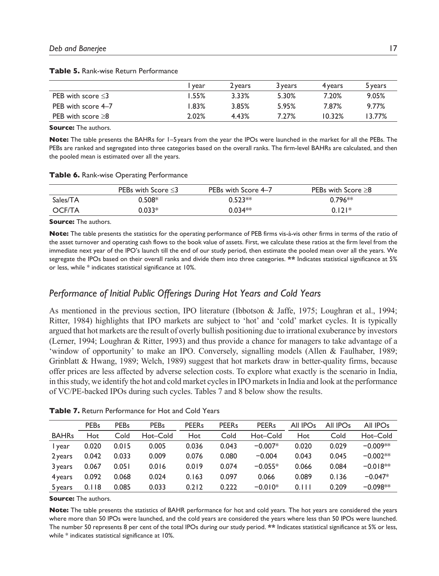|                         | year  | 2 years | 3 years | 4 years | 5 years |
|-------------------------|-------|---------|---------|---------|---------|
| PEB with score $\leq$ 3 | 1.55% | 3.33%   | 5.30%   | 7.20%   | 9.05%   |
| PEB with score 4–7      | 1.83% | 3.85%   | 5.95%   | 7.87%   | 9.77%   |
| PEB with score $\geq$ 8 | 2.02% | 4.43%   | 7.27%   | 10.32%  | 13.77%  |

**Table 5.** Rank-wise Return Performance

**Source:** The authors.

**Note:** The table presents the BAHRs for 1–5 years from the year the IPOs were launched in the market for all the PEBs. The PEBs are ranked and segregated into three categories based on the overall ranks. The firm-level BAHRs are calculated, and then the pooled mean is estimated over all the years.

#### **Table 6.** Rank-wise Operating Performance

|               | PEBs with Score $\leq$ 3 | PEBs with Score 4-7 | <b>PEBs with Score <math>\geq 8</math></b> |
|---------------|--------------------------|---------------------|--------------------------------------------|
| Sales/TA      | $0.508*$                 | $0.523**$           | $0.796**$                                  |
| <b>OCF/TA</b> | $0.033*$                 | $0.034**$           | $0.121*$                                   |

#### **Source:** The authors.

**Note:** The table presents the statistics for the operating performance of PEB firms vis-à-vis other firms in terms of the ratio of the asset turnover and operating cash flows to the book value of assets. First, we calculate these ratios at the firm level from the immediate next year of the IPO's launch till the end of our study period, then estimate the pooled mean over all the years. We segregate the IPOs based on their overall ranks and divide them into three categories. **\*\*** Indicates statistical significance at 5% or less, while \* indicates statistical significance at 10%.

## *Performance of Initial Public Offerings During Hot Years and Cold Years*

As mentioned in the previous section, IPO literature (Ibbotson & Jaffe, 1975; Loughran et al., 1994; Ritter, 1984) highlights that IPO markets are subject to 'hot' and 'cold' market cycles. It is typically argued that hot markets are the result of overly bullish positioning due to irrational exuberance by investors (Lerner, 1994; Loughran & Ritter, 1993) and thus provide a chance for managers to take advantage of a 'window of opportunity' to make an IPO. Conversely, signalling models (Allen & Faulhaber, 1989; Grinblatt & Hwang, 1989; Welch, 1989) suggest that hot markets draw in better-quality firms, because offer prices are less affected by adverse selection costs. To explore what exactly is the scenario in India, in this study, we identify the hot and cold market cycles in IPO markets in India and look at the performance of VC/PE-backed IPOs during such cycles. Tables 7 and 8 below show the results.

|              | <b>PEBs</b> | <b>PEBs</b> | <b>PEBs</b> | <b>PEERs</b> | <b>PEERs</b> | <b>PEERs</b> | All IPO <sub>s</sub> | All IPO <sub>s</sub> | All IPO <sub>s</sub> |
|--------------|-------------|-------------|-------------|--------------|--------------|--------------|----------------------|----------------------|----------------------|
| <b>BAHRs</b> | Hot         | Cold        | Hot-Cold    | Hot          | Cold         | Hot-Cold     | Hot                  | Cold                 | Hot-Cold             |
| I year       | 0.020       | 0.015       | 0.005       | 0.036        | 0.043        | $-0.007*$    | 0.020                | 0.029                | $-0.009**$           |
| 2 years      | 0.042       | 0.033       | 0.009       | 0.076        | 0.080        | $-0.004$     | 0.043                | 0.045                | $-0.002**$           |
| 3 years      | 0.067       | 0.051       | 0.016       | 0.019        | 0.074        | $-0.055*$    | 0.066                | 0.084                | $-0.018**$           |
| 4 years      | 0.092       | 0.068       | 0.024       | 0.163        | 0.097        | 0.066        | 0.089                | 0.136                | $-0.047*$            |
| 5 years      | 0.118       | 0.085       | 0.033       | 0.212        | 0.222        | $-0.010*$    | 0.111                | 0.209                | $-0.098**$           |

**Table 7.** Return Performance for Hot and Cold Years

**Source:** The authors.

**Note:** The table presents the statistics of BAHR performance for hot and cold years. The hot years are considered the years where more than 50 IPOs were launched, and the cold years are considered the years where less than 50 IPOs were launched. The number 50 represents 8 per cent of the total IPOs during our study period. **\*\*** Indicates statistical significance at 5% or less, while \* indicates statistical significance at 10%.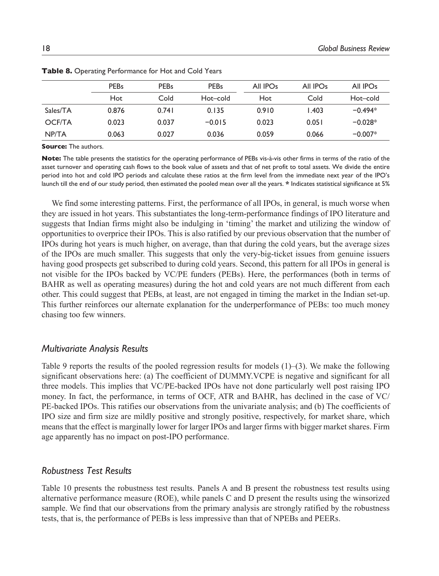|               | <b>PEBs</b> | <b>PEBs</b><br><b>PEBs</b> |          | All IPO <sub>S</sub> | All IPO <sub>S</sub> | All IPO <sub>S</sub> |
|---------------|-------------|----------------------------|----------|----------------------|----------------------|----------------------|
|               | Hot         | Cold                       | Hot-cold | Hot                  | Cold                 | Hot-cold             |
| Sales/TA      | 0.876       | 0.741                      | 0.135    | 0.910                | 1.403                | $-0.494*$            |
| <b>OCF/TA</b> | 0.023       | 0.037                      | $-0.015$ | 0.023                | 0.051                | $-0.028*$            |
| NP/TA         | 0.063       | 0.027                      | 0.036    | 0.059                | 0.066                | $-0.007*$            |

**Table 8.** Operating Performance for Hot and Cold Years

**Source:** The authors.

**Note:** The table presents the statistics for the operating performance of PEBs vis-à-vis other firms in terms of the ratio of the asset turnover and operating cash flows to the book value of assets and that of net profit to total assets. We divide the entire period into hot and cold IPO periods and calculate these ratios at the firm level from the immediate next year of the IPO's launch till the end of our study period, then estimated the pooled mean over all the years. **\*** Indicates statistical significance at 5%

We find some interesting patterns. First, the performance of all IPOs, in general, is much worse when they are issued in hot years. This substantiates the long-term-performance findings of IPO literature and suggests that Indian firms might also be indulging in 'timing' the market and utilizing the window of opportunities to overprice their IPOs. This is also ratified by our previous observation that the number of IPOs during hot years is much higher, on average, than that during the cold years, but the average sizes of the IPOs are much smaller. This suggests that only the very-big-ticket issues from genuine issuers having good prospects get subscribed to during cold years. Second, this pattern for all IPOs in general is not visible for the IPOs backed by VC/PE funders (PEBs). Here, the performances (both in terms of BAHR as well as operating measures) during the hot and cold years are not much different from each other. This could suggest that PEBs, at least, are not engaged in timing the market in the Indian set-up. This further reinforces our alternate explanation for the underperformance of PEBs: too much money chasing too few winners.

#### *Multivariate Analysis Results*

Table 9 reports the results of the pooled regression results for models  $(1)$ – $(3)$ . We make the following significant observations here: (a) The coefficient of DUMMY.VCPE is negative and significant for all three models. This implies that VC/PE-backed IPOs have not done particularly well post raising IPO money. In fact, the performance, in terms of OCF, ATR and BAHR, has declined in the case of VC/ PE-backed IPOs. This ratifies our observations from the univariate analysis; and (b) The coefficients of IPO size and firm size are mildly positive and strongly positive, respectively, for market share, which means that the effect is marginally lower for larger IPOs and larger firms with bigger market shares. Firm age apparently has no impact on post-IPO performance.

### *Robustness Test Results*

Table 10 presents the robustness test results. Panels A and B present the robustness test results using alternative performance measure (ROE), while panels C and D present the results using the winsorized sample. We find that our observations from the primary analysis are strongly ratified by the robustness tests, that is, the performance of PEBs is less impressive than that of NPEBs and PEERs.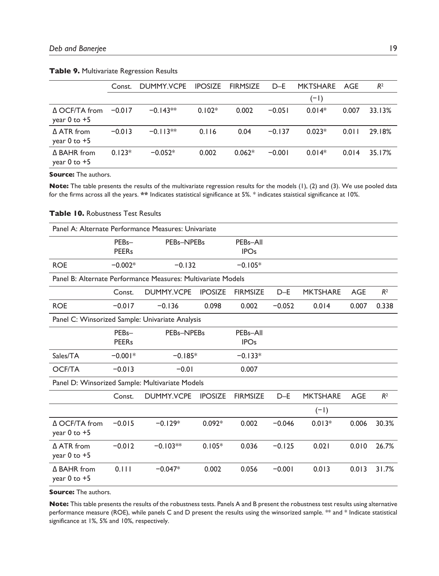|                                             | Const.   | DUMMY.VCPE | <b>IPOSIZE</b> | <b>FIRMSIZE</b> | $D-E$    | <b>MKTSHARE</b> | AGE   | R <sup>2</sup> |
|---------------------------------------------|----------|------------|----------------|-----------------|----------|-----------------|-------|----------------|
|                                             |          |            |                |                 |          | $(-1)$          |       |                |
| $\triangle$ OCF/TA from<br>year $0$ to $+5$ | $-0.017$ | $-0.143**$ | $0.102*$       | 0.002           | $-0.051$ | $0.014*$        | 0.007 | 33.13%         |
| $\triangle$ ATR from<br>year $0$ to $+5$    | $-0.013$ | $-0.113**$ | 0.116          | 0.04            | $-0.137$ | $0.023*$        | 0.011 | 29.18%         |
| $\triangle$ BAHR from<br>year $0$ to $+5$   | $0.123*$ | $-0.052*$  | 0.002          | $0.062*$        | $-0.001$ | $0.014*$        | 0.014 | 35.17%         |

#### **Table 9.** Multivariate Regression Results

**Source:** The authors.

**Note:** The table presents the results of the multivariate regression results for the models (1), (2) and (3). We use pooled data for the firms across all the years. **\*\*** Indicates statistical significance at 5%. \* indicates staistical significance at 10%.

| Panel A: Alternate Performance Measures: Univariate          |                    |                   |                |                       |          |                 |            |                |  |  |  |  |
|--------------------------------------------------------------|--------------------|-------------------|----------------|-----------------------|----------|-----------------|------------|----------------|--|--|--|--|
|                                                              | PEB <sub>s</sub> - | PEBs-NPEBs        |                | PEB <sub>s</sub> -All |          |                 |            |                |  |  |  |  |
|                                                              | <b>PEERs</b>       |                   |                | <b>IPOs</b>           |          |                 |            |                |  |  |  |  |
| <b>ROE</b>                                                   | $-0.002*$          | $-0.132$          |                | $-0.105*$             |          |                 |            |                |  |  |  |  |
| Panel B: Alternate Performance Measures: Multivariate Models |                    |                   |                |                       |          |                 |            |                |  |  |  |  |
|                                                              | Const.             | <b>DUMMY.VCPE</b> | <b>IPOSIZE</b> | <b>FIRMSIZE</b>       | $D - E$  | <b>MKTSHARE</b> | <b>AGE</b> | R <sup>2</sup> |  |  |  |  |
| <b>ROE</b>                                                   | $-0.017$           | $-0.136$          | 0.098          | 0.002                 | $-0.052$ | 0.014           | 0.007      | 0.338          |  |  |  |  |
| Panel C: Winsorized Sample: Univariate Analysis              |                    |                   |                |                       |          |                 |            |                |  |  |  |  |
|                                                              | PEB <sub>s</sub> - | PEBs-NPEBs        |                | PEB <sub>s</sub> -All |          |                 |            |                |  |  |  |  |
|                                                              | <b>PEERs</b>       |                   |                | <b>IPOs</b>           |          |                 |            |                |  |  |  |  |
| Sales/TA                                                     | $-0.001*$          | $-0.185*$         |                | $-0.133*$             |          |                 |            |                |  |  |  |  |
| <b>OCF/TA</b>                                                | $-0.013$           | $-0.01$           |                | 0.007                 |          |                 |            |                |  |  |  |  |
| Panel D: Winsorized Sample: Multivariate Models              |                    |                   |                |                       |          |                 |            |                |  |  |  |  |
|                                                              | Const.             | DUMMY.VCPE        | <b>IPOSIZE</b> | <b>FIRMSIZE</b>       | $D-F$    | <b>MKTSHARE</b> | <b>AGE</b> | R <sup>2</sup> |  |  |  |  |
|                                                              |                    |                   |                |                       |          | $(-1)$          |            |                |  |  |  |  |
| Δ OCF/TA from                                                | $-0.015$           | $-0.129*$         | $0.092*$       | 0.002                 | $-0.046$ | $0.013*$        | 0.006      | 30.3%          |  |  |  |  |
| year 0 to +5                                                 |                    |                   |                |                       |          |                 |            |                |  |  |  |  |
| A ATR from                                                   | $-0.012$           | $-0.103**$        | $0.105*$       | 0.036                 | $-0.125$ | 0.021           | 0.010      | 26.7%          |  |  |  |  |
| year 0 to +5                                                 |                    |                   |                |                       |          |                 |            |                |  |  |  |  |
| Δ BAHR from<br>year $0$ to $+5$                              | 0.111              | $-0.047*$         | 0.002          | 0.056                 | $-0.001$ | 0.013           | 0.013      | 31.7%          |  |  |  |  |
|                                                              |                    |                   |                |                       |          |                 |            |                |  |  |  |  |

#### **Table 10.** Robustness Test Results

**Source:** The authors.

**Note:** This table presents the results of the robustness tests. Panels A and B present the robustness test results using alternative performance measure (ROE), while panels C and D present the results using the winsorized sample. \*\* and \* Indicate statistical significance at 1%, 5% and 10%, respectively.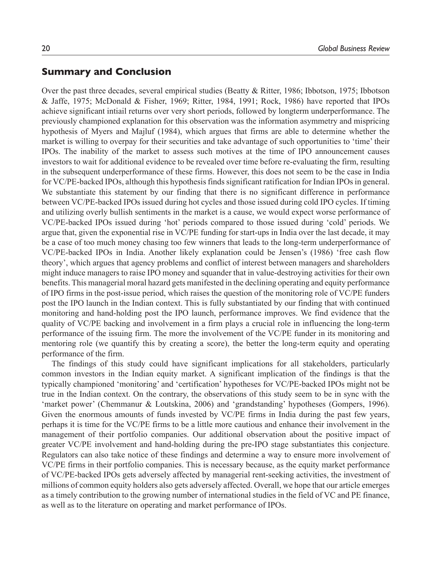### **Summary and Conclusion**

Over the past three decades, several empirical studies (Beatty & Ritter, 1986; Ibbotson, 1975; Ibbotson & Jaffe, 1975; McDonald & Fisher, 1969; Ritter, 1984, 1991; Rock, 1986) have reported that IPOs achieve significant intiail returns over very short periods, followed by longterm underperformance. The previously championed explanation for this observation was the information asymmetry and mispricing hypothesis of Myers and Majluf (1984), which argues that firms are able to determine whether the market is willing to overpay for their securities and take advantage of such opportunities to 'time' their IPOs. The inability of the market to assess such motives at the time of IPO announcement causes investors to wait for additional evidence to be revealed over time before re-evaluating the firm, resulting in the subsequent underperformance of these firms. However, this does not seem to be the case in India for VC/PE-backed IPOs, although this hypothesis finds significant ratification for Indian IPOs in general. We substantiate this statement by our finding that there is no significant difference in performance between VC/PE-backed IPOs issued during hot cycles and those issued during cold IPO cycles. If timing and utilizing overly bullish sentiments in the market is a cause, we would expect worse performance of VC/PE-backed IPOs issued during 'hot' periods compared to those issued during 'cold' periods. We argue that, given the exponential rise in VC/PE funding for start-ups in India over the last decade, it may be a case of too much money chasing too few winners that leads to the long-term underperformance of VC/PE-backed IPOs in India. Another likely explanation could be Jensen's (1986) 'free cash flow theory', which argues that agency problems and conflict of interest between managers and shareholders might induce managers to raise IPO money and squander that in value-destroying activities for their own benefits. This managerial moral hazard gets manifested in the declining operating and equity performance of IPO firms in the post-issue period, which raises the question of the monitoring role of VC/PE funders post the IPO launch in the Indian context. This is fully substantiated by our finding that with continued monitoring and hand-holding post the IPO launch, performance improves. We find evidence that the quality of VC/PE backing and involvement in a firm plays a crucial role in influencing the long-term performance of the issuing firm. The more the involvement of the VC/PE funder in its monitoring and mentoring role (we quantify this by creating a score), the better the long-term equity and operating performance of the firm.

The findings of this study could have significant implications for all stakeholders, particularly common investors in the Indian equity market. A significant implication of the findings is that the typically championed 'monitoring' and 'certification' hypotheses for VC/PE-backed IPOs might not be true in the Indian context. On the contrary, the observations of this study seem to be in sync with the 'market power' (Chemmanur & Loutskina, 2006) and 'grandstanding' hypotheses (Gompers, 1996). Given the enormous amounts of funds invested by VC/PE firms in India during the past few years, perhaps it is time for the VC/PE firms to be a little more cautious and enhance their involvement in the management of their portfolio companies. Our additional observation about the positive impact of greater VC/PE involvement and hand-holding during the pre-IPO stage substantiates this conjecture. Regulators can also take notice of these findings and determine a way to ensure more involvement of VC/PE firms in their portfolio companies. This is necessary because, as the equity market performance of VC/PE-backed IPOs gets adversely affected by managerial rent-seeking activities, the investment of millions of common equity holders also gets adversely affected. Overall, we hope that our article emerges as a timely contribution to the growing number of international studies in the field of VC and PE finance, as well as to the literature on operating and market performance of IPOs.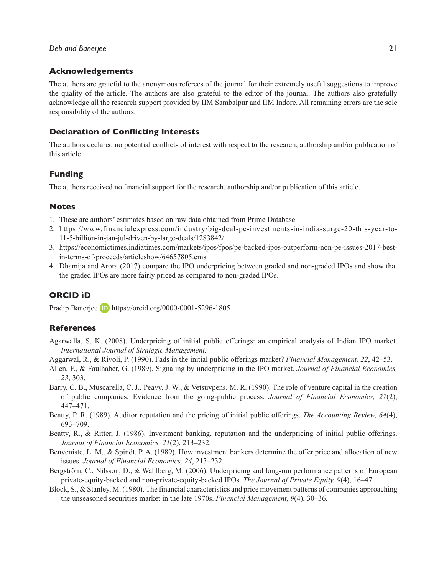#### **Acknowledgements**

The authors are grateful to the anonymous referees of the journal for their extremely useful suggestions to improve the quality of the article. The authors are also grateful to the editor of the journal. The authors also gratefully acknowledge all the research support provided by IIM Sambalpur and IIM Indore. All remaining errors are the sole responsibility of the authors.

#### **Declaration of Conflicting Interests**

The authors declared no potential conflicts of interest with respect to the research, authorship and/or publication of this article.

#### **Funding**

The authors received no financial support for the research, authorship and/or publication of this article.

#### **Notes**

- 1. These are authors' estimates based on raw data obtained from Prime Database.
- 2. https://www.financialexpress.com/industry/big-deal-pe-investments-in-india-surge-20-this-year-to-11-5-billion-in-jan-jul-driven-by-large-deals/1283842/
- 3. https://economictimes.indiatimes.com/markets/ipos/fpos/pe-backed-ipos-outperform-non-pe-issues-2017-bestin-terms-of-proceeds/articleshow/64657805.cms
- 4. Dhamija and Arora (2017) compare the IPO underpricing between graded and non-graded IPOs and show that the graded IPOs are more fairly priced as compared to non-graded IPOs.

### **ORCID iD**

Pradip Banerjee **D** https://orcid.org/0000-0001-5296-1805

#### **References**

- Agarwalla, S. K. (2008), Underpricing of initial public offerings: an empirical analysis of Indian IPO market. *International Journal of Strategic Management.*
- Aggarwal, R., & Rivoli, P. (1990). Fads in the initial public offerings market? *Financial Management, 22*, 42–53.
- Allen, F., & Faulhaber, G. (1989). Signaling by underpricing in the IPO market. *Journal of Financial Economics, 23*, 303.
- Barry, C. B., Muscarella, C. J., Peavy, J. W., & Vetsuypens, M. R. (1990). The role of venture capital in the creation of public companies: Evidence from the going-public process. *Journal of Financial Economics, 27*(2), 447–471.
- Beatty, P. R. (1989). Auditor reputation and the pricing of initial public offerings. *The Accounting Review, 64*(4), 693–709.
- Beatty, R., & Ritter, J. (1986). Investment banking, reputation and the underpricing of initial public offerings. *Journal of Financial Economics, 21*(2), 213–232.
- Benveniste, L. M., & Spindt, P. A. (1989). How investment bankers determine the offer price and allocation of new issues. *Journal of Financial Economics, 24*, 213–232.
- Bergström, C., Nilsson, D., & Wahlberg, M. (2006). Underpricing and long-run performance patterns of European private-equity-backed and non-private-equity-backed IPOs. *The Journal of Private Equity, 9*(4), 16–47.
- Block, S., & Stanley, M. (1980). The financial characteristics and price movement patterns of companies approaching the unseasoned securities market in the late 1970s. *Financial Management, 9*(4), 30–36.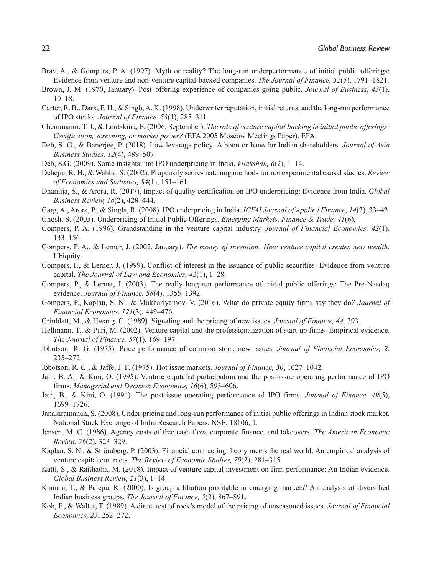- Brav, A., & Gompers, P. A. (1997). Myth or reality? The long-run underperformance of initial public offerings: Evidence from venture and non-venture capital‐backed companies. *The Journal of Finance, 52*(5), 1791–1821.
- Brown, J. M. (1970, January). Post–offering experience of companies going public. *Journal of Business, 43*(1), 10–18.
- Carter, R. B., Dark, F. H., & Singh, A. K. (1998). Underwriter reputation, initial returns, and the long-run performance of IPO stocks. *Journal of Finance, 53*(1), 285–311.
- Chemmanur, T. J., & Loutskina, E. (2006, September). *The role of venture capital backing in initial public offerings: Certification, screening, or market power?* (EFA 2005 Moscow Meetings Paper). EFA.
- Deb, S. G., & Banerjee, P. (2018). Low leverage policy: A boon or bane for Indian shareholders. *Journal of Asia Business Studies, 12*(4), 489–507.
- Deb, S.G. (2009). Some insights into IPO underpricing in India. *Vilakshan, 6*(2), 1–14.
- Dehejia, R. H., & Wahba, S. (2002). Propensity score-matching methods for nonexperimental causal studies. *Review of Economics and Statistics, 84*(1), 151–161.
- Dhamija, S., & Arora, R. (2017). Impact of quality certification on IPO underpricing: Evidence from India. *Global Business Review, 18*(2), 428–444.
- Garg, A., Arora, P., & Singla, R. (2008). IPO underpricing in India. *ICFAI Journal of Applied Finance, 14*(3), 33–42. Ghosh, S. (2005). Underpricing of Initial Public Offerings. *Emerging Markets, Finance & Trade, 41*(6).
- Gompers, P. A. (1996). Grandstanding in the venture capital industry. *Journal of Financial Economics, 42*(1), 133–156.
- Gompers, P. A., & Lerner, J. (2002, January). *The money of invention: How venture capital creates new wealth*. Ubiquity.
- Gompers, P., & Lerner, J. (1999). Conflict of interest in the issuance of public securities: Evidence from venture capital. *The Journal of Law and Economics, 42*(1), 1–28.
- Gompers, P., & Lerner, J. (2003). The really long-run performance of initial public offerings: The Pre-Nasdaq evidence. *Journal of Finance, 58*(4), 1355–1392.
- Gompers, P., Kaplan, S. N., & Mukharlyamov, V. (2016). What do private equity firms say they do*? Journal of Financial Economics, 121*(3), 449–476.
- Grinblatt, M., & Hwang, C. (1989). Signaling and the pricing of new issues. *Journal of Finance, 44*, 393.
- Hellmann, T., & Puri, M. (2002). Venture capital and the professionalization of start-up firms: Empirical evidence. *The Journal of Finance, 57*(1), 169–197.
- Ibbotson, R. G. (1975). Price performance of common stock new issues. *Journal of Financial Economics, 2*, 235–272.
- Ibbotson, R. G., & Jaffe, J. F. (1975). Hot issue markets. *Journal of Finance, 30*, 1027–1042.
- Jain, B. A., & Kini, O. (1995). Venture capitalist participation and the post‐issue operating performance of IPO firms. *Managerial and Decision Economics, 16*(6), 593–606.
- Jain, B., & Kini, O. (1994). The post-issue operating performance of IPO firms. *Journal of Finance, 49*(5), 1699–1726.
- Janakiramanan, S. (2008). Under-pricing and long-run performance of initial public offerings in Indian stock market. National Stock Exchange of India Research Papers, NSE, 18106, 1.
- Jensen, M. C. (1986). Agency costs of free cash flow, corporate finance, and takeovers. *The American Economic Review, 76*(2), 323–329.
- Kaplan, S. N., & Strömberg, P. (2003). Financial contracting theory meets the real world: An empirical analysis of venture capital contracts. *The Review of Economic Studies, 70*(2), 281–315.
- Katti, S., & Raithatha, M. (2018). Impact of venture capital investment on firm performance: An Indian evidence. *Global Business Review, 21*(3), 1–14.
- Khanna, T., & Palepu, K. (2000). Is group affiliation profitable in emerging markets? An analysis of diversified Indian business groups. *The Journal of Finance, 5*(2), 867–891.
- Koh, F., & Walter, T. (1989). A direct test of rock's model of the pricing of unseasoned issues. *Journal of Financial Economics, 23*, 252–272.